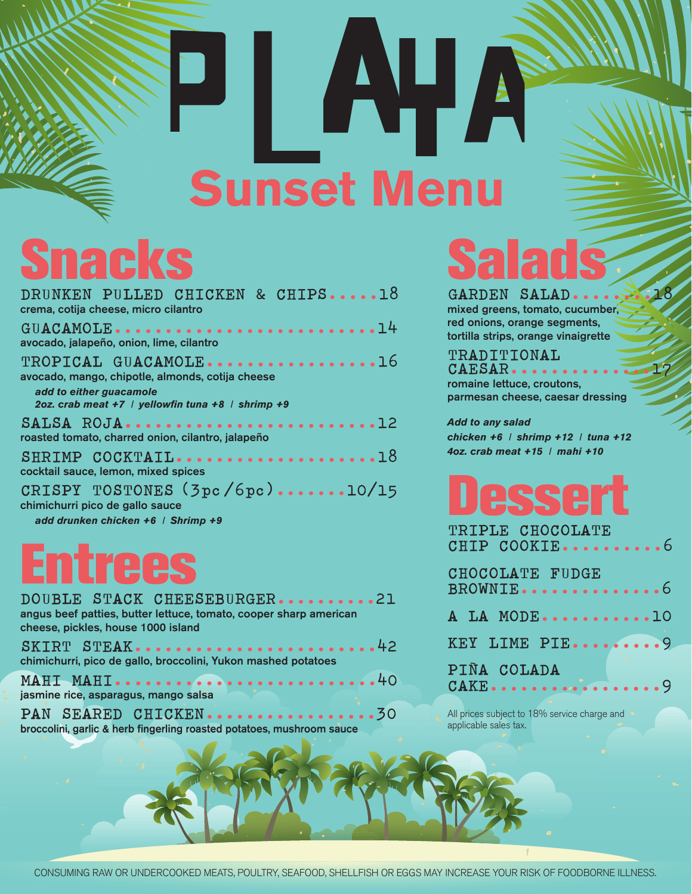# AHA **Sunset Menu**

# **Snacks**

| DRUNKEN PULLED CHICKEN & CHIPS18<br>crema, cotija cheese, micro cilantro                                                                                 |
|----------------------------------------------------------------------------------------------------------------------------------------------------------|
| GUACAMOLE14<br>avocado, jalapeño, onion, lime, cilantro                                                                                                  |
| TROPICAL GUACAMOLE16<br>avocado, mango, chipotle, almonds, cotija cheese<br>add to either guacamole<br>2oz. crab meat +7   yellowfin tuna +8   shrimp +9 |
| SALSA ROJA12<br>roasted tomato, charred onion, cilantro, jalapeño                                                                                        |
| SHRIMP COCKTAIL18<br>cocktail sauce, lemon, mixed spices                                                                                                 |
| CRISPY TOSTONES (3pc/6pc)10/15<br>chimichurri pico de gallo sauce                                                                                        |

 *add drunken chicken +6 I Shrimp +9*

| DOUBLE STACK CHEESEBURGER21<br>angus beef patties, butter lettuce, tomato, cooper sharp american |
|--------------------------------------------------------------------------------------------------|
| cheese, pickles, house 1000 island                                                               |
|                                                                                                  |
| SKIRT STEAK42                                                                                    |
| chimichurri, pico de gallo, broccolini, Yukon mashed potatoes                                    |
| MAHI MAHI40                                                                                      |

jasmine rice, asparagus, mango salsa

|  | PAN SEARED CHICKEN                                                    |  |  |  |  |  |  |  |
|--|-----------------------------------------------------------------------|--|--|--|--|--|--|--|
|  | broccolini, garlic & herb fingerling roasted potatoes, mushroom sauce |  |  |  |  |  |  |  |

# **Salads**

**GARDEN SALAD........18** mixed greens, tomato, cucumber, red onions, orange segments, tortilla strips, orange vinaigrette

### **TRADITIONAL CAESAR..............17** romaine lettuce, croutons, parmesan cheese, caesar dressing

*Add to any salad chicken +6 I shrimp +12 I tuna +12 4oz. crab meat +15 I mahi +10*

| TRIPLE CHOCOLATE<br>CHIP COOKIE6                                       |  |
|------------------------------------------------------------------------|--|
| CHOCOLATE FUDGE<br>$\tt BROWNIE \dots \dots \dots \dots \dots \dots \$ |  |
| A LA MODE10                                                            |  |
| KEY LIME PIE9                                                          |  |
| PIÑA COLADA<br>CAKE9                                                   |  |

All prices subject to 18% service charge and applicable sales tax.

CONSUMING RAW OR UNDERCOOKED MEATS, POULTRY, SEAFOOD, SHELLFISH OR EGGS MAY INCREASE YOUR RISK OF FOODBORNE ILLNESS.